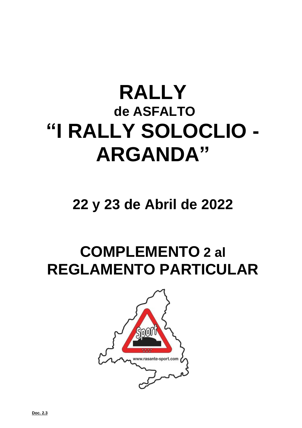# **RALLY de ASFALTO "I RALLY SOLOCLIO - ARGANDA"**

## **22 y 23 de Abril de 2022**

# **COMPLEMENTO 2 al REGLAMENTO PARTICULAR**

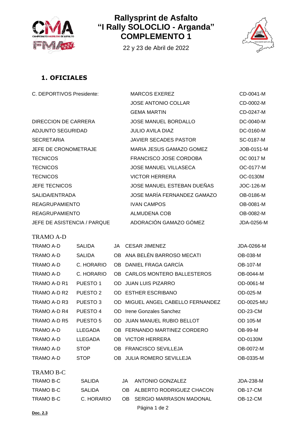

#### **Rallysprint de Asfalto "I Rally SOLOCLIO - Arganda" COMPLEMENTO 1**

22 y 23 de Abril de 2022



#### **1. OFICIALES**

| C. DEPORTIVOS Presidente:   | <b>MARCOS EXEREZ</b>         | CD-0041-M  |
|-----------------------------|------------------------------|------------|
|                             | <b>JOSE ANTONIO COLLAR</b>   | CD-0002-M  |
|                             | <b>GEMA MARTIN</b>           | CD-0247-M  |
| DIRECCION DE CARRERA        | <b>JOSE MANUEL BORDALLO</b>  | DC-0040-M  |
| ADJUNTO SEGURIDAD           | <b>JULIO AVILA DIAZ</b>      | DC-0160-M  |
| <b>SECRETARIA</b>           | <b>JAVIER SECADES PASTOR</b> | SC-0187-M  |
| JEFE DE CRONOMETRAJE        | MARIA JESUS GAMAZO GOMEZ     | JOB-0151-M |
| <b>TECNICOS</b>             | FRANCISCO JOSE CORDOBA       | OC 0017 M  |
| <b>TECNICOS</b>             | <b>JOSE MANUEL VILLASECA</b> | OC-0177-M  |
| <b>TECNICOS</b>             | <b>VICTOR HERRERA</b>        | OC-0130M   |
| <b>JEFE TECNICOS</b>        | JOSE MANUEL ESTEBAN DUEÑAS   | JOC-126-M  |
| SALIDA/ENTRADA              | JOSE MARÍA FERNANDEZ GAMAZO  | OB-0186-M  |
| <b>REAGRUPAMIENTO</b>       | <b>IVAN CAMPOS</b>           | OB-0081-M  |
| <b>REAGRUPAMIENTO</b>       | ALMUDENA COB                 | OB-0082-M  |
| JEFE DE ASISTENCIA / PARQUE | ADORACIÓN GAMAZO GÓMEZ       | JDA-0256-M |
|                             |                              |            |

TRAMO A-D

| TRAMO A-D        | <b>SALIDA</b>       |     | JA CESAR JIMENEZ                                      | JDA-0266-M     |
|------------------|---------------------|-----|-------------------------------------------------------|----------------|
| TRAMO A-D        | <b>SALIDA</b>       |     | OB ANA BELÉN BARROSO MECATI                           | OB-038-M       |
| TRAMO A-D        | C. HORARIO          |     | OB DANIEL FRAGA GARCIA                                | OB-107-M       |
| TRAMO A-D        | C. HORARIO          |     | OB CARLOS MONTERO BALLESTEROS                         | OB-0044-M      |
| TRAMO A-D R1     | PUESTO 1            | OD. | JUAN LUIS PIZARRO                                     | OD-0061-M      |
| TRAMO A-D R2     | PUESTO <sub>2</sub> |     | OD ESTHER ESCRIBANO                                   | OD-025-M       |
| TRAMO A-D R3     | PUESTO <sub>3</sub> |     | OD MIGUEL ANGEL CABELLO FERNANDEZ                     | OD-0025-MU     |
| TRAMO A-D R4     | PUESTO 4            | OD. | Irene Gonzales Sanchez                                | $OD-23-CM$     |
| TRAMO A-D R5     | PUESTO 5            | OD. | JUAN MANUEL RUBIO BELLOT                              | OD 105-M       |
| TRAMO A-D        | <b>LLEGADA</b>      |     | OB FERNANDO MARTINEZ CORDERO                          | <b>OB-99-M</b> |
| TRAMO A-D        | <b>LLEGADA</b>      | OB. | VICTOR HERRERA                                        | OD-0130M       |
| TRAMO A-D        | <b>STOP</b>         |     | OB FRANCISCO SEVILLEJA                                | OB-0072-M      |
| TRAMO A-D        | <b>STOP</b>         | OB. | <b>JULIA ROMERO SEVILLEJA</b>                         | OB-0335-M      |
|                  |                     |     |                                                       |                |
| <b>TRAMO B-C</b> |                     |     |                                                       |                |
| -------          |                     |     | $\cdots$ $\cdots$ $\cdots$ $\cdots$ $\cdots$ $\cdots$ |                |

| TRAMO B-C  | <b>SALIDA</b> | JA ANTONIO GONZALEZ         | JDA-238-M |
|------------|---------------|-----------------------------|-----------|
| TRAMO B-C  | <b>SALIDA</b> | OB ALBERTO RODRIGUEZ CHACON | OB-17-CM  |
| TRAMO B-C. | C. HORARIO    | OB SERGIO MARRASON MADONAL  | OB-12-CM  |
|            |               | Página 1 de 2               |           |